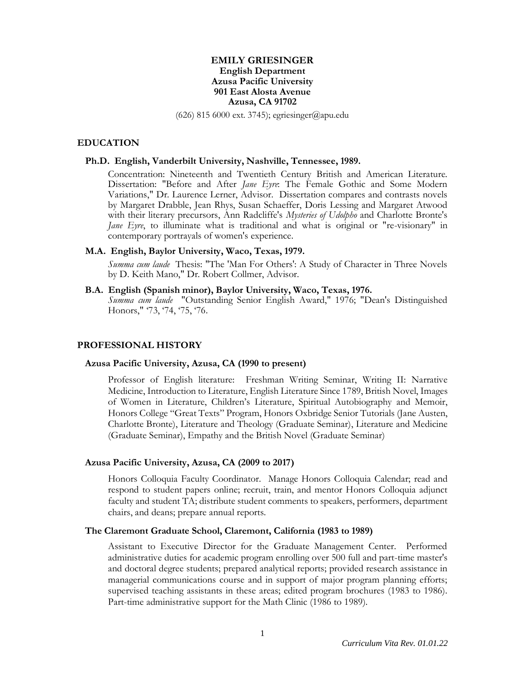# **EMILY GRIESINGER English Department Azusa Pacific University 901 East Alosta Avenue Azusa, CA 91702**

(626) 815 6000 ext. 3745); egriesinger@apu.edu

### **EDUCATION**

### **Ph.D. English, Vanderbilt University, Nashville, Tennessee, 1989.**

Concentration: Nineteenth and Twentieth Century British and American Literature. Dissertation: "Before and After *Jane Eyre*: The Female Gothic and Some Modern Variations," Dr. Laurence Lerner, Advisor. Dissertation compares and contrasts novels by Margaret Drabble, Jean Rhys, Susan Schaeffer, Doris Lessing and Margaret Atwood with their literary precursors, Ann Radcliffe's *Mysteries of Udolpho* and Charlotte Bronte's *Jane Eyre*, to illuminate what is traditional and what is original or "re-visionary" in contemporary portrayals of women's experience.

### **M.A. English, Baylor University, Waco, Texas, 1979.**

*Summa cum laude* Thesis: "The 'Man For Others': A Study of Character in Three Novels by D. Keith Mano," Dr. Robert Collmer, Advisor.

### **B.A. English (Spanish minor), Baylor University, Waco, Texas, 1976.**

*Summa cum laude* "Outstanding Senior English Award," 1976; "Dean's Distinguished Honors," '73, '74, '75, '76.

### **PROFESSIONAL HISTORY**

#### **Azusa Pacific University, Azusa, CA (1990 to present)**

Professor of English literature: Freshman Writing Seminar, Writing II: Narrative Medicine, Introduction to Literature, English Literature Since 1789, British Novel, Images of Women in Literature, Children's Literature, Spiritual Autobiography and Memoir, Honors College "Great Texts" Program, Honors Oxbridge Senior Tutorials (Jane Austen, Charlotte Bronte), Literature and Theology (Graduate Seminar), Literature and Medicine (Graduate Seminar), Empathy and the British Novel (Graduate Seminar)

### **Azusa Pacific University, Azusa, CA (2009 to 2017)**

Honors Colloquia Faculty Coordinator. Manage Honors Colloquia Calendar; read and respond to student papers online; recruit, train, and mentor Honors Colloquia adjunct faculty and student TA; distribute student comments to speakers, performers, department chairs, and deans; prepare annual reports.

### **The Claremont Graduate School, Claremont, California (1983 to 1989)**

Assistant to Executive Director for the Graduate Management Center. Performed administrative duties for academic program enrolling over 500 full and part-time master's and doctoral degree students; prepared analytical reports; provided research assistance in managerial communications course and in support of major program planning efforts; supervised teaching assistants in these areas; edited program brochures (1983 to 1986). Part-time administrative support for the Math Clinic (1986 to 1989).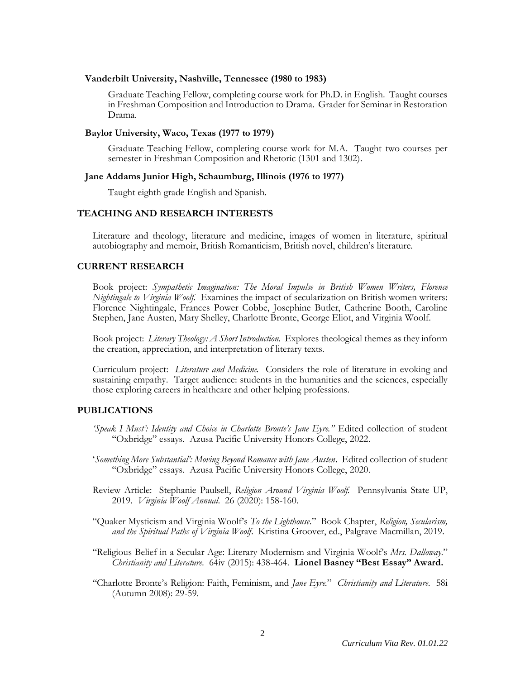#### **Vanderbilt University, Nashville, Tennessee (1980 to 1983)**

Graduate Teaching Fellow, completing course work for Ph.D. in English. Taught courses in Freshman Composition and Introduction to Drama. Grader for Seminar in Restoration Drama.

#### **Baylor University, Waco, Texas (1977 to 1979)**

Graduate Teaching Fellow, completing course work for M.A. Taught two courses per semester in Freshman Composition and Rhetoric (1301 and 1302).

### **Jane Addams Junior High, Schaumburg, Illinois (1976 to 1977)**

Taught eighth grade English and Spanish.

# **TEACHING AND RESEARCH INTERESTS**

Literature and theology, literature and medicine, images of women in literature, spiritual autobiography and memoir, British Romanticism, British novel, children's literature.

# **CURRENT RESEARCH**

Book project: *Sympathetic Imagination: The Moral Impulse in British Women Writers, Florence Nightingale to Virginia Woolf*. Examines the impact of secularization on British women writers: Florence Nightingale, Frances Power Cobbe, Josephine Butler, Catherine Booth, Caroline Stephen, Jane Austen, Mary Shelley, Charlotte Bronte, George Eliot, and Virginia Woolf.

Book project: *Literary Theology: A Short Introduction.* Explores theological themes as they inform the creation, appreciation, and interpretation of literary texts.

Curriculum project: *Literature and Medicine.* Considers the role of literature in evoking and sustaining empathy. Target audience: students in the humanities and the sciences, especially those exploring careers in healthcare and other helping professions.

# **PUBLICATIONS**

- *'Speak I Must': Identity and Choice in Charlotte Bronte's Jane Eyre."* Edited collection of student "Oxbridge" essays. Azusa Pacific University Honors College, 2022.
- '*Something More Substantial': Moving Beyond Romance with Jane Austen*. Edited collection of student "Oxbridge" essays. Azusa Pacific University Honors College, 2020.
- Review Article: Stephanie Paulsell, *Religion Around Virginia Woolf.* Pennsylvania State UP, 2019. *Virginia Woolf Annual*. 26 (2020): 158-160.
- "Quaker Mysticism and Virginia Woolf's *To the Lighthouse*." Book Chapter, *Religion, Secularism, and the Spiritual Paths of Virginia Woolf*. Kristina Groover, ed., Palgrave Macmillan, 2019.
- "Religious Belief in a Secular Age: Literary Modernism and Virginia Woolf's *Mrs. Dalloway*." *Christianity and Literature*. 64iv (2015): 438-464. **Lionel Basney "Best Essay" Award.**
- "Charlotte Bronte's Religion: Faith, Feminism, and *Jane Eyre*." *Christianity and Literature*. 58i (Autumn 2008): 29-59.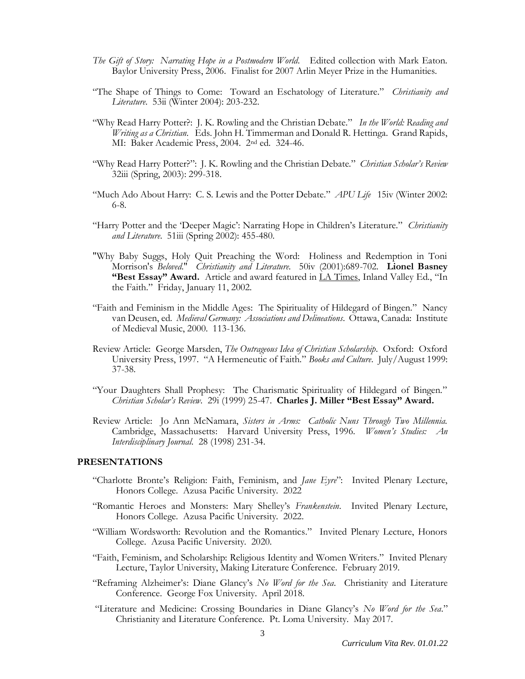- *The Gift of Story: Narrating Hope in a Postmodern World*. Edited collection with Mark Eaton. Baylor University Press, 2006. Finalist for 2007 Arlin Meyer Prize in the Humanities.
- "The Shape of Things to Come: Toward an Eschatology of Literature." *Christianity and Literature*. 53ii (Winter 2004): 203-232.
- "Why Read Harry Potter?: J. K. Rowling and the Christian Debate." *In the World: Reading and Writing as a Christian*. Eds. John H. Timmerman and Donald R. Hettinga. Grand Rapids, MI: Baker Academic Press, 2004. 2nd ed. 324-46.
- "Why Read Harry Potter?": J. K. Rowling and the Christian Debate." *Christian Scholar's Review* 32iii (Spring, 2003): 299-318.
- "Much Ado About Harry: C. S. Lewis and the Potter Debate." *APU Life* 15iv (Winter 2002: 6-8.
- "Harry Potter and the 'Deeper Magic': Narrating Hope in Children's Literature." *Christianity and Literature*. 51iii (Spring 2002): 455-480.
- "Why Baby Suggs, Holy Quit Preaching the Word: Holiness and Redemption in Toni Morrison's *Beloved*." *Christianity and Literature*. 50iv (2001):689-702. **Lionel Basney "Best Essay" Award.** Article and award featured in LA Times, Inland Valley Ed., "In the Faith." Friday, January 11, 2002.
- "Faith and Feminism in the Middle Ages: The Spirituality of Hildegard of Bingen." Nancy van Deusen, ed. *Medieval Germany: Associations and Delineations*. Ottawa, Canada: Institute of Medieval Music, 2000. 113-136.
- Review Article: George Marsden, *The Outrageous Idea of Christian Scholarship*. Oxford: Oxford University Press, 1997. "A Hermeneutic of Faith." *Books and Culture*. July/August 1999: 37-38.
- "Your Daughters Shall Prophesy: The Charismatic Spirituality of Hildegard of Bingen." *Christian Scholar's Review*. 29i (1999) 25-47. **Charles J. Miller "Best Essay" Award.**
- Review Article: Jo Ann McNamara, *Sisters in Arms: Catholic Nuns Through Two Millennia.* Cambridge, Massachusetts: Harvard University Press, 1996. *Women's Studies: An Interdisciplinary Journal*. 28 (1998) 231-34.

### **PRESENTATIONS**

- "Charlotte Bronte's Religion: Faith, Feminism, and *Jane Eyre*": Invited Plenary Lecture, Honors College. Azusa Pacific University. 2022
- "Romantic Heroes and Monsters: Mary Shelley's *Frankenstein*. Invited Plenary Lecture, Honors College. Azusa Pacific University. 2022.
- "William Wordsworth: Revolution and the Romantics." Invited Plenary Lecture, Honors College. Azusa Pacific University. 2020.
- "Faith, Feminism, and Scholarship: Religious Identity and Women Writers." Invited Plenary Lecture, Taylor University, Making Literature Conference. February 2019.
- "Reframing Alzheimer's: Diane Glancy's *No Word for the Sea*. Christianity and Literature Conference. George Fox University. April 2018.
- "Literature and Medicine: Crossing Boundaries in Diane Glancy's *No Word for the Sea*." Christianity and Literature Conference. Pt. Loma University. May 2017.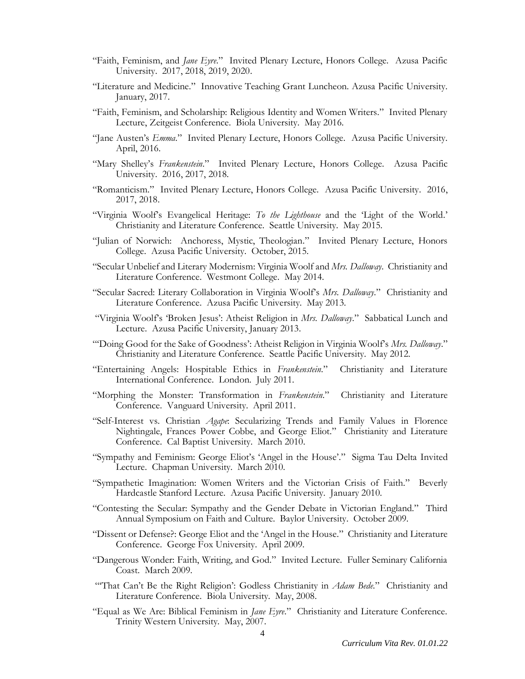- "Faith, Feminism, and *Jane Eyre*." Invited Plenary Lecture, Honors College. Azusa Pacific University. 2017, 2018, 2019, 2020.
- "Literature and Medicine." Innovative Teaching Grant Luncheon. Azusa Pacific University. January, 2017.
- "Faith, Feminism, and Scholarship: Religious Identity and Women Writers." Invited Plenary Lecture, Zeitgeist Conference. Biola University. May 2016.
- "Jane Austen's *Emma*." Invited Plenary Lecture, Honors College. Azusa Pacific University. April, 2016.
- "Mary Shelley's *Frankenstein*." Invited Plenary Lecture, Honors College. Azusa Pacific University. 2016, 2017, 2018.
- "Romanticism." Invited Plenary Lecture, Honors College. Azusa Pacific University. 2016, 2017, 2018.
- "Virginia Woolf's Evangelical Heritage: *To the Lighthouse* and the 'Light of the World.' Christianity and Literature Conference. Seattle University. May 2015.
- "Julian of Norwich: Anchoress, Mystic, Theologian." Invited Plenary Lecture, Honors College. Azusa Pacific University. October, 2015.
- "Secular Unbelief and Literary Modernism: Virginia Woolf and *Mrs. Dalloway*. Christianity and Literature Conference. Westmont College. May 2014.
- "Secular Sacred: Literary Collaboration in Virginia Woolf's *Mrs. Dalloway*." Christianity and Literature Conference. Azusa Pacific University. May 2013.
- "Virginia Woolf's 'Broken Jesus': Atheist Religion in *Mrs. Dalloway*." Sabbatical Lunch and Lecture. Azusa Pacific University, January 2013.
- "'Doing Good for the Sake of Goodness': Atheist Religion in Virginia Woolf's *Mrs. Dalloway*." Christianity and Literature Conference. Seattle Pacific University. May 2012.
- "Entertaining Angels: Hospitable Ethics in *Frankenstein*." Christianity and Literature International Conference. London. July 2011.
- "Morphing the Monster: Transformation in *Frankenstein*." Christianity and Literature Conference. Vanguard University. April 2011.
- "Self-Interest vs. Christian *Agape*: Secularizing Trends and Family Values in Florence Nightingale, Frances Power Cobbe, and George Eliot." Christianity and Literature Conference. Cal Baptist University. March 2010.
- "Sympathy and Feminism: George Eliot's 'Angel in the House'." Sigma Tau Delta Invited Lecture. Chapman University. March 2010.
- "Sympathetic Imagination: Women Writers and the Victorian Crisis of Faith." Beverly Hardcastle Stanford Lecture. Azusa Pacific University. January 2010.
- "Contesting the Secular: Sympathy and the Gender Debate in Victorian England." Third Annual Symposium on Faith and Culture. Baylor University. October 2009.
- "Dissent or Defense?: George Eliot and the 'Angel in the House." Christianity and Literature Conference. George Fox University. April 2009.
- "Dangerous Wonder: Faith, Writing, and God." Invited Lecture. Fuller Seminary California Coast. March 2009.
- "'That Can't Be the Right Religion': Godless Christianity in *Adam Bede*." Christianity and Literature Conference. Biola University. May, 2008.
- "Equal as We Are: Biblical Feminism in *Jane Eyre*." Christianity and Literature Conference. Trinity Western University. May, 2007.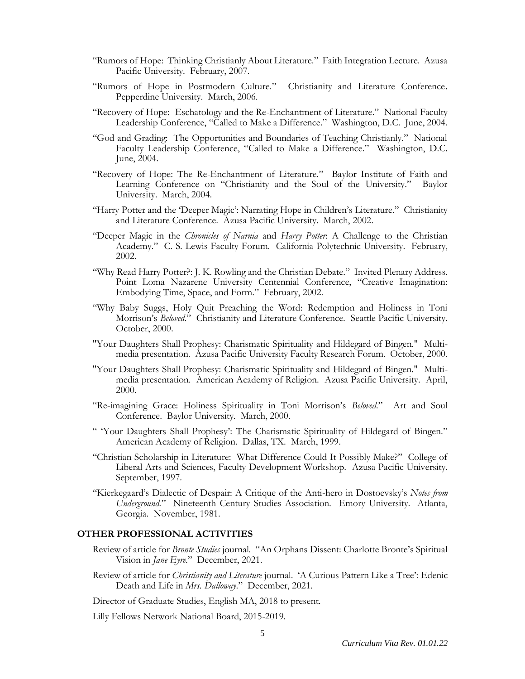- "Rumors of Hope: Thinking Christianly About Literature." Faith Integration Lecture. Azusa Pacific University. February, 2007.
- "Rumors of Hope in Postmodern Culture." Christianity and Literature Conference. Pepperdine University. March, 2006.
- "Recovery of Hope: Eschatology and the Re-Enchantment of Literature." National Faculty Leadership Conference, "Called to Make a Difference." Washington, D.C. June, 2004.
- "God and Grading: The Opportunities and Boundaries of Teaching Christianly." National Faculty Leadership Conference, "Called to Make a Difference." Washington, D.C. June, 2004.
- "Recovery of Hope: The Re-Enchantment of Literature." Baylor Institute of Faith and Learning Conference on "Christianity and the Soul of the University." Baylor University. March, 2004.
- "Harry Potter and the 'Deeper Magic': Narrating Hope in Children's Literature." Christianity and Literature Conference. Azusa Pacific University. March, 2002.
- "Deeper Magic in the *Chronicles of Narnia* and *Harry Potter*: A Challenge to the Christian Academy." C. S. Lewis Faculty Forum. California Polytechnic University. February, 2002.
- "Why Read Harry Potter?: J. K. Rowling and the Christian Debate." Invited Plenary Address. Point Loma Nazarene University Centennial Conference, "Creative Imagination: Embodying Time, Space, and Form." February, 2002.
- "Why Baby Suggs, Holy Quit Preaching the Word: Redemption and Holiness in Toni Morrison's *Beloved*." Christianity and Literature Conference. Seattle Pacific University. October, 2000.
- "Your Daughters Shall Prophesy: Charismatic Spirituality and Hildegard of Bingen." Multimedia presentation. Azusa Pacific University Faculty Research Forum. October, 2000.
- "Your Daughters Shall Prophesy: Charismatic Spirituality and Hildegard of Bingen." Multimedia presentation. American Academy of Religion. Azusa Pacific University. April, 2000.
- "Re-imagining Grace: Holiness Spirituality in Toni Morrison's *Beloved*." Art and Soul Conference. Baylor University. March, 2000.
- " 'Your Daughters Shall Prophesy': The Charismatic Spirituality of Hildegard of Bingen." American Academy of Religion. Dallas, TX. March, 1999.
- "Christian Scholarship in Literature: What Difference Could It Possibly Make?" College of Liberal Arts and Sciences, Faculty Development Workshop. Azusa Pacific University. September, 1997.
- "Kierkegaard's Dialectic of Despair: A Critique of the Anti-hero in Dostoevsky's *Notes from Underground.*" Nineteenth Century Studies Association. Emory University. Atlanta, Georgia. November, 1981.

### **OTHER PROFESSIONAL ACTIVITIES**

- Review of article for *Bronte Studies* journal. "An Orphans Dissent: Charlotte Bronte's Spiritual Vision in *Jane Eyre*." December, 2021.
- Review of article for *Christianity and Literature* journal. 'A Curious Pattern Like a Tree': Edenic Death and Life in *Mrs. Dalloway*." December, 2021.
- Director of Graduate Studies, English MA, 2018 to present.

Lilly Fellows Network National Board, 2015-2019.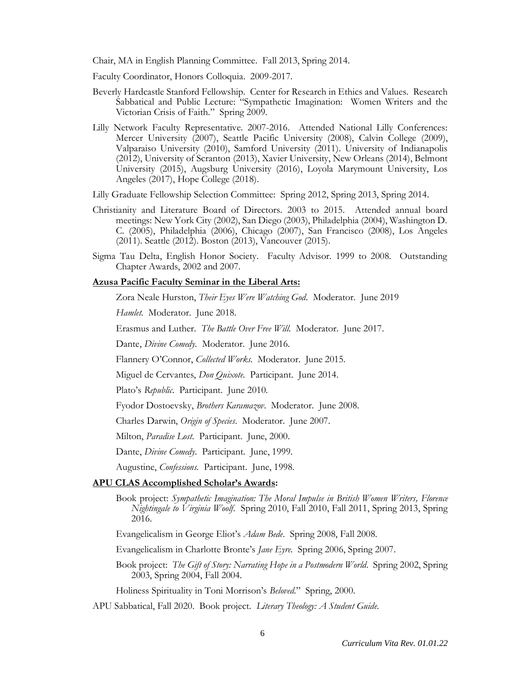Chair, MA in English Planning Committee. Fall 2013, Spring 2014.

Faculty Coordinator, Honors Colloquia. 2009-2017.

- Beverly Hardcastle Stanford Fellowship. Center for Research in Ethics and Values. Research Sabbatical and Public Lecture: "Sympathetic Imagination: Women Writers and the Victorian Crisis of Faith." Spring 2009.
- Lilly Network Faculty Representative. 2007-2016. Attended National Lilly Conferences: Mercer University (2007), Seattle Pacific University (2008), Calvin College (2009), Valparaiso University (2010), Samford University (2011). University of Indianapolis (2012), University of Scranton (2013), Xavier University, New Orleans (2014), Belmont University (2015), Augsburg University (2016), Loyola Marymount University, Los Angeles (2017), Hope College (2018).

Lilly Graduate Fellowship Selection Committee: Spring 2012, Spring 2013, Spring 2014.

- Christianity and Literature Board of Directors. 2003 to 2015. Attended annual board meetings: New York City (2002), San Diego (2003), Philadelphia (2004), Washington D. C. (2005), Philadelphia (2006), Chicago (2007), San Francisco (2008), Los Angeles (2011). Seattle (2012). Boston (2013), Vancouver (2015).
- Sigma Tau Delta, English Honor Society. Faculty Advisor. 1999 to 2008. Outstanding Chapter Awards, 2002 and 2007.

### **Azusa Pacific Faculty Seminar in the Liberal Arts:**

Zora Neale Hurston, *Their Eyes Were Watching God*. Moderator. June 2019

*Hamlet*. Moderator. June 2018.

Erasmus and Luther. *The Battle Over Free Will*. Moderator. June 2017.

Dante, *Divine Comedy*. Moderator. June 2016.

Flannery O'Connor, *Collected Works*. Moderator. June 2015.

Miguel de Cervantes, *Don Quixote*. Participant. June 2014.

Plato's *Republic*. Participant. June 2010.

Fyodor Dostoevsky, *Brothers Karamazov*. Moderator. June 2008.

Charles Darwin, *Origin of Species*. Moderator. June 2007.

Milton, *Paradise Lost*. Participant. June, 2000.

Dante, *Divine Comedy*. Participant. June, 1999.

Augustine, *Confessions.* Participant. June, 1998.

#### **APU CLAS Accomplished Scholar's Awards:**

Book project: *Sympathetic Imagination: The Moral Impulse in British Women Writers, Florence Nightingale to Virginia Woolf*. Spring 2010, Fall 2010, Fall 2011, Spring 2013, Spring 2016.

Evangelicalism in George Eliot's *Adam Bede*. Spring 2008, Fall 2008.

Evangelicalism in Charlotte Bronte's *Jane Eyre*. Spring 2006, Spring 2007.

Book project: *The Gift of Story: Narrating Hope in a Postmodern World*. Spring 2002, Spring 2003, Spring 2004, Fall 2004.

Holiness Spirituality in Toni Morrison's *Beloved*." Spring, 2000.

APU Sabbatical, Fall 2020. Book project. *Literary Theology: A Student Guide*.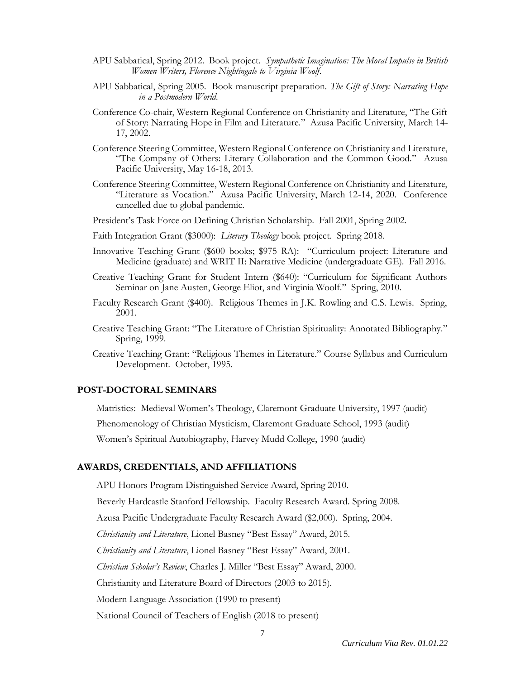- APU Sabbatical, Spring 2012. Book project. *Sympathetic Imagination: The Moral Impulse in British Women Writers, Florence Nightingale to Virginia Woolf*.
- APU Sabbatical, Spring 2005. Book manuscript preparation. *The Gift of Story: Narrating Hope in a Postmodern World.*
- Conference Co-chair, Western Regional Conference on Christianity and Literature, "The Gift of Story: Narrating Hope in Film and Literature." Azusa Pacific University, March 14- 17, 2002.
- Conference Steering Committee, Western Regional Conference on Christianity and Literature, "The Company of Others: Literary Collaboration and the Common Good." Azusa Pacific University, May 16-18, 2013.
- Conference Steering Committee, Western Regional Conference on Christianity and Literature, "Literature as Vocation." Azusa Pacific University, March 12-14, 2020. Conference cancelled due to global pandemic.
- President's Task Force on Defining Christian Scholarship. Fall 2001, Spring 2002.
- Faith Integration Grant (\$3000): *Literary Theology* book project. Spring 2018.
- Innovative Teaching Grant (\$600 books; \$975 RA): "Curriculum project: Literature and Medicine (graduate) and WRIT II: Narrative Medicine (undergraduate GE). Fall 2016.
- Creative Teaching Grant for Student Intern (\$640): "Curriculum for Significant Authors Seminar on Jane Austen, George Eliot, and Virginia Woolf." Spring, 2010.
- Faculty Research Grant (\$400). Religious Themes in J.K. Rowling and C.S. Lewis. Spring, 2001.
- Creative Teaching Grant: "The Literature of Christian Spirituality: Annotated Bibliography." Spring, 1999.
- Creative Teaching Grant: "Religious Themes in Literature." Course Syllabus and Curriculum Development. October, 1995.

### **POST-DOCTORAL SEMINARS**

Matristics: Medieval Women's Theology, Claremont Graduate University, 1997 (audit)

Phenomenology of Christian Mysticism, Claremont Graduate School, 1993 (audit)

Women's Spiritual Autobiography, Harvey Mudd College, 1990 (audit)

#### **AWARDS, CREDENTIALS, AND AFFILIATIONS**

APU Honors Program Distinguished Service Award, Spring 2010.

Beverly Hardcastle Stanford Fellowship. Faculty Research Award. Spring 2008.

Azusa Pacific Undergraduate Faculty Research Award (\$2,000). Spring, 2004.

*Christianity and Literature*, Lionel Basney "Best Essay" Award, 2015.

*Christianity and Literature*, Lionel Basney "Best Essay" Award, 2001.

*Christian Scholar's Review*, Charles J. Miller "Best Essay" Award, 2000.

Christianity and Literature Board of Directors (2003 to 2015).

Modern Language Association (1990 to present)

National Council of Teachers of English (2018 to present)